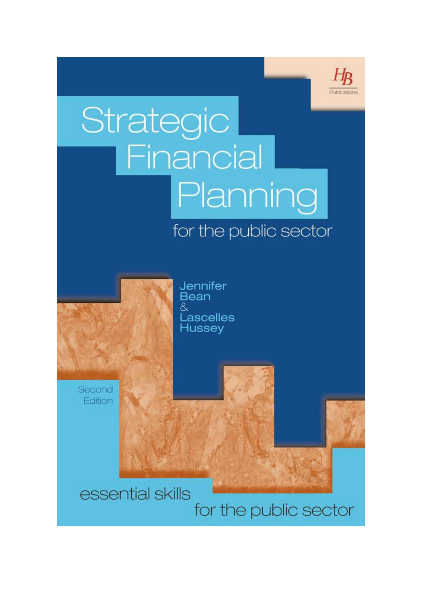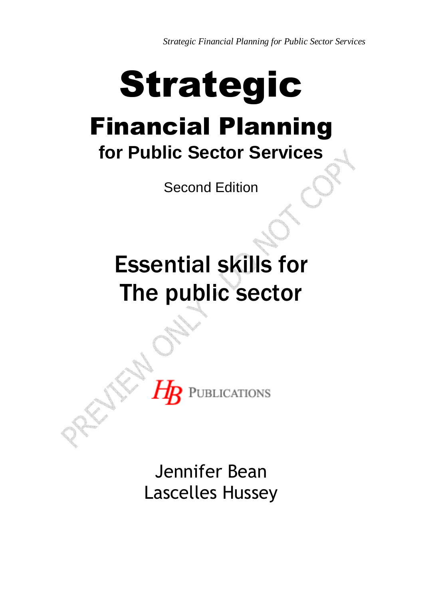*Strategic Financial Planning for Public Sector Services* 

## Strategic Financial Planning **for Public Sector Services**

Second Edition

## Essential skills for The public sector

Jennifer Bean Lascelles Hussey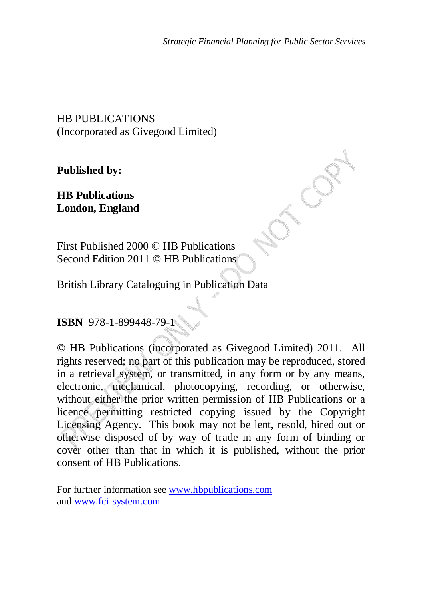HB PUBLICATIONS (Incorporated as Givegood Limited)

**Published by:** 

**HB Publications London, England**

First Published 2000 © HB Publications Second Edition 2011 © HB Publications

British Library Cataloguing in Publication Data

**ISBN** 978-1-899448-79-1

© HB Publications (incorporated as Givegood Limited) 2011. All rights reserved; no part of this publication may be reproduced, stored in a retrieval system, or transmitted, in any form or by any means, electronic, mechanical, photocopying, recording, or otherwise, without either the prior written permission of HB Publications or a licence permitting restricted copying issued by the Copyright Licensing Agency. This book may not be lent, resold, hired out or otherwise disposed of by way of trade in any form of binding or cover other than that in which it is published, without the prior consent of HB Publications.

For further information see www.hbpublications.com and www.fci-system.com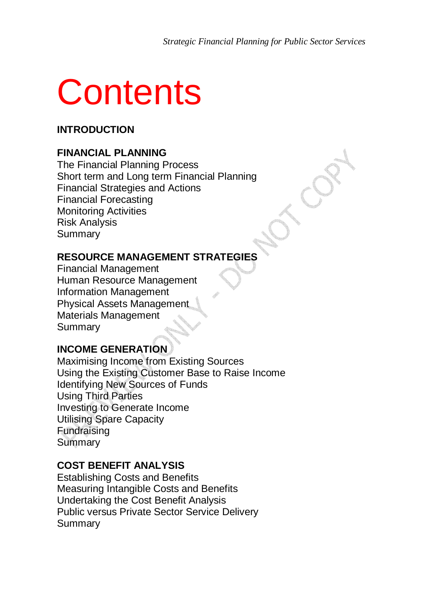# **Contents**

#### **INTRODUCTION**

#### **FINANCIAL PLANNING**

The Financial Planning Process Short term and Long term Financial Planning Financial Strategies and Actions Financial Forecasting Monitoring Activities Risk Analysis Summary

#### **RESOURCE MANAGEMENT STRATEGIES**

Financial Management Human Resource Management Information Management Physical Assets Management Materials Management Summary

#### **INCOME GENERATION**

Maximising Income from Existing Sources Using the Existing Customer Base to Raise Income Identifying New Sources of Funds Using Third Parties Investing to Generate Income Utilising Spare Capacity Fundraising Summary

#### **COST BENEFIT ANALYSIS**

Establishing Costs and Benefits Measuring Intangible Costs and Benefits Undertaking the Cost Benefit Analysis Public versus Private Sector Service Delivery Summary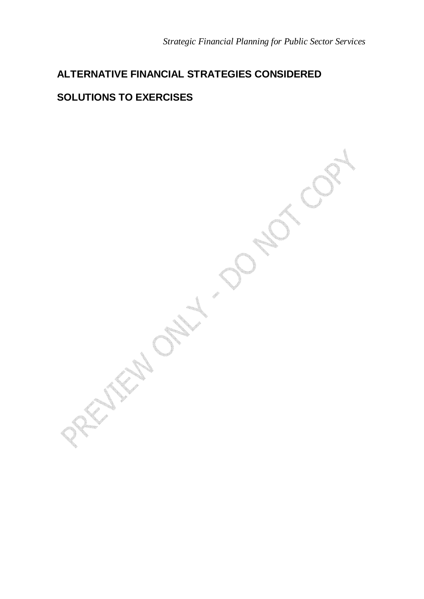## **ALTERNATIVE FINANCIAL STRATEGIES CONSIDERED**

#### **SOLUTIONS TO EXERCISES**

**POST** Little Only 1 20 ND COR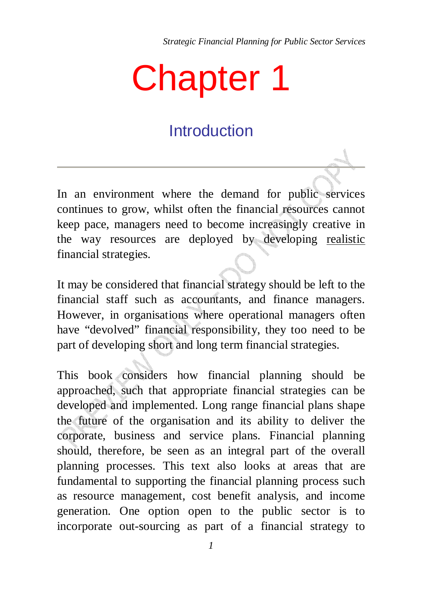*Strategic Financial Planning for Public Sector Services* 

# Chapter 1

## **Introduction**

In an environment where the demand for public services continues to grow, whilst often the financial resources cannot keep pace, managers need to become increasingly creative in the way resources are deployed by developing realistic financial strategies.

It may be considered that financial strategy should be left to the financial staff such as accountants, and finance managers. However, in organisations where operational managers often have "devolved" financial responsibility, they too need to be part of developing short and long term financial strategies.

This book considers how financial planning should be approached, such that appropriate financial strategies can be developed and implemented. Long range financial plans shape the future of the organisation and its ability to deliver the corporate, business and service plans. Financial planning should, therefore, be seen as an integral part of the overall planning processes. This text also looks at areas that are fundamental to supporting the financial planning process such as resource management, cost benefit analysis, and income generation. One option open to the public sector is to incorporate out-sourcing as part of a financial strategy to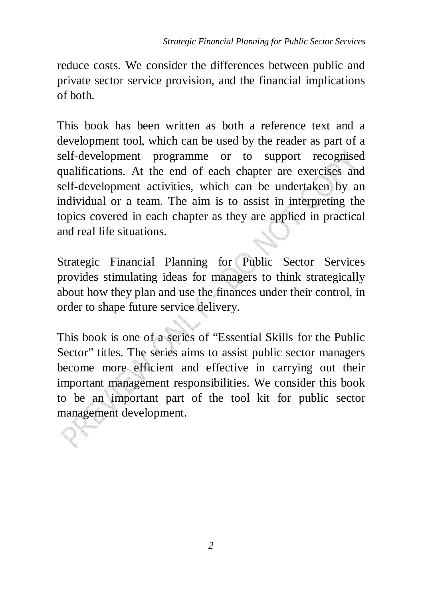reduce costs. We consider the differences between public and private sector service provision, and the financial implications of both.

This book has been written as both a reference text and a development tool, which can be used by the reader as part of a self-development programme or to support recognised qualifications. At the end of each chapter are exercises and self-development activities, which can be undertaken by an individual or a team. The aim is to assist in interpreting the topics covered in each chapter as they are applied in practical and real life situations.

Strategic Financial Planning for Public Sector Services provides stimulating ideas for managers to think strategically about how they plan and use the finances under their control, in order to shape future service delivery.

This book is one of a series of "Essential Skills for the Public Sector" titles. The series aims to assist public sector managers become more efficient and effective in carrying out their important management responsibilities. We consider this book to be an important part of the tool kit for public sector management development.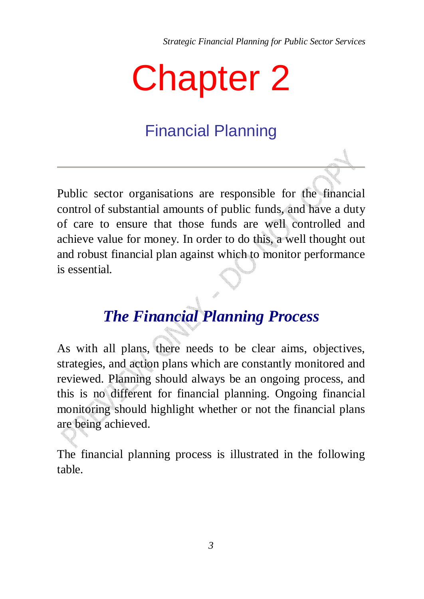*Strategic Financial Planning for Public Sector Services* 

# Chapter 2

## Financial Planning

Public sector organisations are responsible for the financial control of substantial amounts of public funds, and have a duty of care to ensure that those funds are well controlled and achieve value for money. In order to do this, a well thought out and robust financial plan against which to monitor performance is essential.

## *The Financial Planning Process*

As with all plans, there needs to be clear aims, objectives, strategies, and action plans which are constantly monitored and reviewed. Planning should always be an ongoing process, and this is no different for financial planning. Ongoing financial monitoring should highlight whether or not the financial plans are being achieved.

The financial planning process is illustrated in the following table.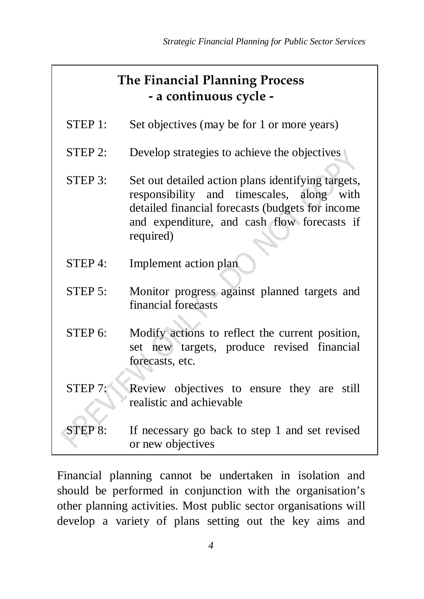### **The Financial Planning Process - a continuous cycle -**

- STEP 1: Set objectives (may be for 1 or more years)
- STEP 2: Develop strategies to achieve the objectives
- STEP 3: Set out detailed action plans identifying targets, responsibility and timescales, along with detailed financial forecasts (budgets for income and expenditure, and cash flow forecasts if required)
- STEP 4: Implement action plan
- STEP 5: Monitor progress against planned targets and financial forecasts
- STEP 6: Modify actions to reflect the current position, set new targets, produce revised financial forecasts, etc.
- STEP 7: Review objectives to ensure they are still realistic and achievable
- STEP 8: If necessary go back to step 1 and set revised or new objectives

Financial planning cannot be undertaken in isolation and should be performed in conjunction with the organisation's other planning activities. Most public sector organisations will develop a variety of plans setting out the key aims and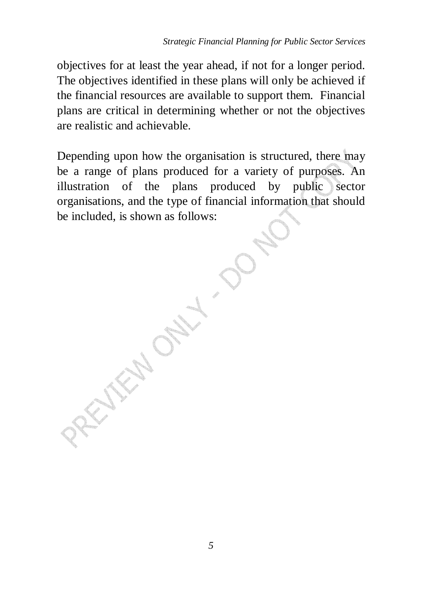objectives for at least the year ahead, if not for a longer period. The objectives identified in these plans will only be achieved if the financial resources are available to support them. Financial plans are critical in determining whether or not the objectives are realistic and achievable.

Depending upon how the organisation is structured, there may be a range of plans produced for a variety of purposes. An illustration of the plans produced by public sector organisations, and the type of financial information that should be included, is shown as follows: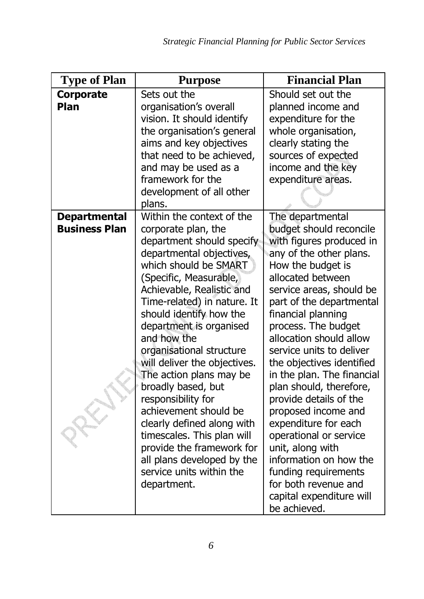| <b>Type of Plan</b>  | <b>Purpose</b>                                          | <b>Financial Plan</b>                                   |
|----------------------|---------------------------------------------------------|---------------------------------------------------------|
| Corporate            | Sets out the                                            | Should set out the                                      |
| Plan                 | organisation's overall                                  | planned income and                                      |
|                      | vision. It should identify                              | expenditure for the                                     |
|                      | the organisation's general                              | whole organisation,                                     |
|                      | aims and key objectives                                 | clearly stating the                                     |
|                      | that need to be achieved,                               | sources of expected                                     |
|                      | and may be used as a                                    | income and the key                                      |
|                      | framework for the                                       | expenditure areas.                                      |
|                      | development of all other                                |                                                         |
|                      | plans.                                                  |                                                         |
| <b>Departmental</b>  | Within the context of the                               | The departmental                                        |
| <b>Business Plan</b> | corporate plan, the                                     | budget should reconcile                                 |
|                      | department should specify                               | with figures produced in                                |
|                      | departmental objectives,                                | any of the other plans.                                 |
|                      | which should be SMART                                   | How the budget is                                       |
|                      | (Specific, Measurable,                                  | allocated between                                       |
|                      | Achievable, Realistic and                               | service areas, should be                                |
|                      | Time-related) in nature. It                             | part of the departmental                                |
|                      | should identify how the                                 | financial planning                                      |
|                      | department is organised                                 | process. The budget                                     |
|                      | and how the                                             | allocation should allow                                 |
|                      | organisational structure                                | service units to deliver                                |
|                      | will deliver the objectives.<br>The action plans may be | the objectives identified<br>in the plan. The financial |
|                      | broadly based, but                                      | plan should, therefore,                                 |
|                      | responsibility for                                      | provide details of the                                  |
|                      | achievement should be                                   | proposed income and                                     |
|                      | clearly defined along with                              | expenditure for each                                    |
|                      | timescales. This plan will                              | operational or service                                  |
|                      | provide the framework for                               | unit, along with                                        |
|                      | all plans developed by the                              | information on how the                                  |
|                      | service units within the                                | funding requirements                                    |
|                      | department.                                             | for both revenue and                                    |
|                      |                                                         | capital expenditure will                                |
|                      |                                                         | be achieved.                                            |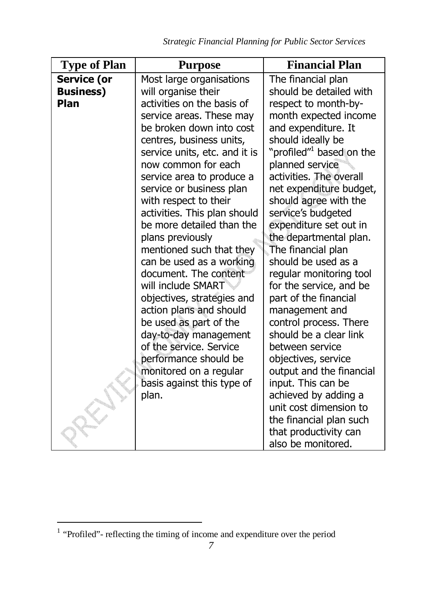| <b>Type of Plan</b>                            | <b>Purpose</b>                                                                                                                                                                                                                                                                                                                                                                                                                                                                                                                                                                                                                             | <b>Financial Plan</b>                                                                                                                                                                                                                                                                                                                                                                                                                                                                                                                                                               |
|------------------------------------------------|--------------------------------------------------------------------------------------------------------------------------------------------------------------------------------------------------------------------------------------------------------------------------------------------------------------------------------------------------------------------------------------------------------------------------------------------------------------------------------------------------------------------------------------------------------------------------------------------------------------------------------------------|-------------------------------------------------------------------------------------------------------------------------------------------------------------------------------------------------------------------------------------------------------------------------------------------------------------------------------------------------------------------------------------------------------------------------------------------------------------------------------------------------------------------------------------------------------------------------------------|
| <b>Service (or</b><br><b>Business)</b><br>Plan | Most large organisations<br>will organise their<br>activities on the basis of<br>service areas. These may<br>be broken down into cost<br>centres, business units,<br>service units, etc. and it is<br>now common for each<br>service area to produce a<br>service or business plan<br>with respect to their<br>activities. This plan should<br>be more detailed than the<br>plans previously<br>mentioned such that they<br>can be used as a working<br>document. The content<br>will include SMART<br>objectives, strategies and<br>action plans and should<br>be used as part of the<br>day-to-day management<br>of the service. Service | The financial plan<br>should be detailed with<br>respect to month-by-<br>month expected income<br>and expenditure. It<br>should ideally be<br>"profiled" <sup>1</sup> based on the<br>planned service<br>activities. The overall<br>net expenditure budget,<br>should agree with the<br>service's budgeted<br>expenditure set out in<br>the departmental plan.<br>The financial plan<br>should be used as a<br>regular monitoring tool<br>for the service, and be<br>part of the financial<br>management and<br>control process. There<br>should be a clear link<br>between service |
|                                                | performance should be<br>monitored on a regular<br>basis against this type of                                                                                                                                                                                                                                                                                                                                                                                                                                                                                                                                                              | objectives, service<br>output and the financial<br>input. This can be                                                                                                                                                                                                                                                                                                                                                                                                                                                                                                               |
|                                                | plan.                                                                                                                                                                                                                                                                                                                                                                                                                                                                                                                                                                                                                                      | achieved by adding a<br>unit cost dimension to<br>the financial plan such<br>that productivity can<br>also be monitored.                                                                                                                                                                                                                                                                                                                                                                                                                                                            |

 1 "Profiled"- reflecting the timing of income and expenditure over the period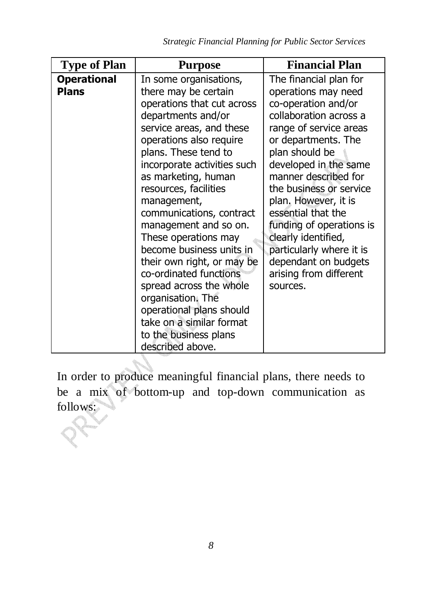| <b>Operational</b><br>The financial plan for<br>In some organisations,                                                                                                                                                                                                                                                                                                                                                                                                                                                                                                                                                                                                                                                                                                                                                                                                                                                                                                                                        |
|---------------------------------------------------------------------------------------------------------------------------------------------------------------------------------------------------------------------------------------------------------------------------------------------------------------------------------------------------------------------------------------------------------------------------------------------------------------------------------------------------------------------------------------------------------------------------------------------------------------------------------------------------------------------------------------------------------------------------------------------------------------------------------------------------------------------------------------------------------------------------------------------------------------------------------------------------------------------------------------------------------------|
| <b>Plans</b><br>there may be certain<br>operations may need<br>co-operation and/or<br>operations that cut across<br>collaboration across a<br>departments and/or<br>range of service areas<br>service areas, and these<br>operations also require<br>or departments. The<br>plans. These tend to<br>plan should be<br>developed in the same<br>incorporate activities such<br>manner described for<br>as marketing, human<br>resources, facilities<br>the business or service<br>plan. However, it is<br>management,<br>essential that the<br>communications, contract<br>management and so on.<br>funding of operations is<br>clearly identified,<br>These operations may<br>become business units in<br>particularly where it is<br>dependant on budgets<br>their own right, or may be<br>co-ordinated functions<br>arising from different<br>spread across the whole<br>sources.<br>organisation. The<br>operational plans should<br>take on a similar format<br>to the business plans<br>described above. |

In order to produce meaningful financial plans, there needs to be a mix of bottom-up and top-down communication as follows: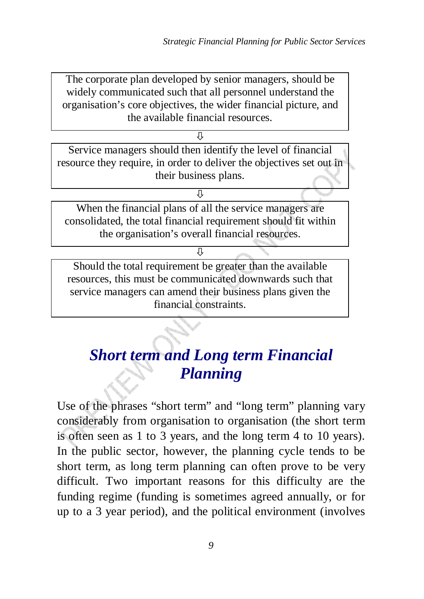The corporate plan developed by senior managers, should be widely communicated such that all personnel understand the organisation's core objectives, the wider financial picture, and the available financial resources.

冗

Service managers should then identify the level of financial resource they require, in order to deliver the objectives set out in their business plans.

When the financial plans of all the service managers are consolidated, the total financial requirement should fit within the organisation's overall financial resources.

⇩

Л

Should the total requirement be greater than the available resources, this must be communicated downwards such that service managers can amend their business plans given the financial constraints.

## *Short term and Long term Financial Planning*

Use of the phrases "short term" and "long term" planning vary considerably from organisation to organisation (the short term is often seen as 1 to 3 years, and the long term 4 to 10 years). In the public sector, however, the planning cycle tends to be short term, as long term planning can often prove to be very difficult. Two important reasons for this difficulty are the funding regime (funding is sometimes agreed annually, or for up to a 3 year period), and the political environment (involves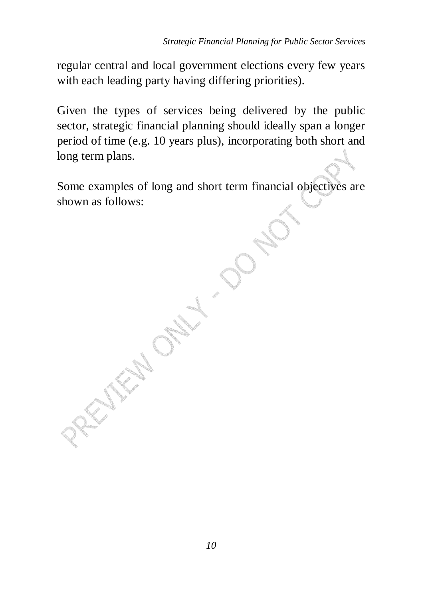regular central and local government elections every few years with each leading party having differing priorities).

Given the types of services being delivered by the public sector, strategic financial planning should ideally span a longer period of time (e.g. 10 years plus), incorporating both short and long term plans.

Some examples of long and short term financial objectives are shown as follows:

*10* 

PROTECTION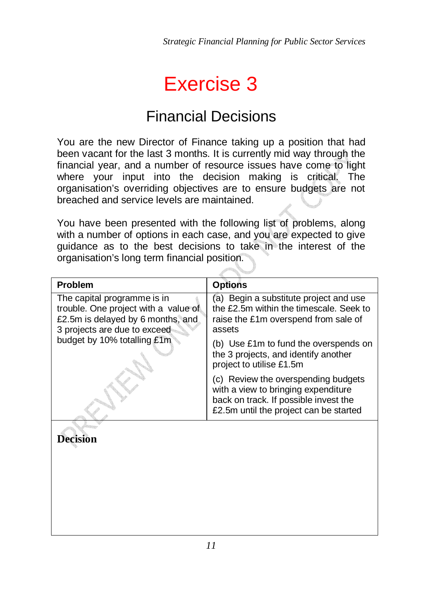## Exercise 3

## Financial Decisions

You are the new Director of Finance taking up a position that had been vacant for the last 3 months. It is currently mid way through the financial year, and a number of resource issues have come to light where your input into the decision making is critical. The organisation's overriding objectives are to ensure budgets are not breached and service levels are maintained.

You have been presented with the following list of problems, along with a number of options in each case, and you are expected to give guidance as to the best decisions to take in the interest of the organisation's long term financial position.

| <b>Problem</b>                                                      | <b>Options</b>                                                                                                                                                |
|---------------------------------------------------------------------|---------------------------------------------------------------------------------------------------------------------------------------------------------------|
| The capital programme is in<br>trouble. One project with a value of | (a) Begin a substitute project and use<br>the £2.5m within the timescale. Seek to                                                                             |
| £2.5m is delayed by 6 months, and<br>3 projects are due to exceed   | raise the £1m overspend from sale of<br>assets                                                                                                                |
| budget by 10% totalling £1m                                         | (b) Use £1m to fund the overspends on<br>the 3 projects, and identify another<br>project to utilise £1.5m                                                     |
|                                                                     | (c) Review the overspending budgets<br>with a view to bringing expenditure<br>back on track. If possible invest the<br>£2.5m until the project can be started |
| Decision                                                            |                                                                                                                                                               |
|                                                                     |                                                                                                                                                               |
|                                                                     |                                                                                                                                                               |
|                                                                     |                                                                                                                                                               |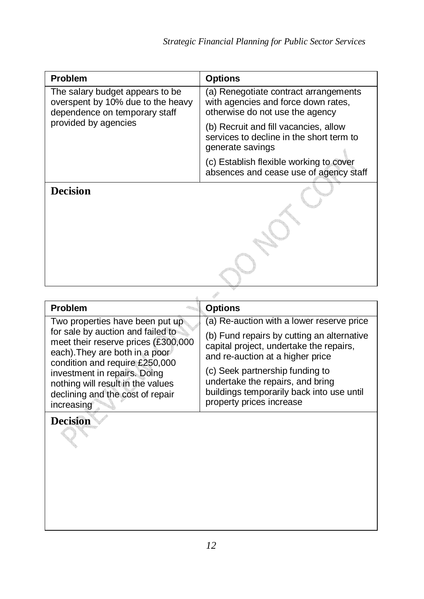| <b>Problem</b>                                                                                        | <b>Options</b>                                                                                                  |
|-------------------------------------------------------------------------------------------------------|-----------------------------------------------------------------------------------------------------------------|
| The salary budget appears to be<br>overspent by 10% due to the heavy<br>dependence on temporary staff | (a) Renegotiate contract arrangements<br>with agencies and force down rates,<br>otherwise do not use the agency |
| provided by agencies                                                                                  | (b) Recruit and fill vacancies, allow<br>services to decline in the short term to<br>generate savings           |
|                                                                                                       | (c) Establish flexible working to cover<br>absences and cease use of agency staff                               |
| Decision                                                                                              |                                                                                                                 |

| <b>Problem</b>                                                                                                                                                                                                                                                                                         | <b>Options</b>                                                                                                                                                         |
|--------------------------------------------------------------------------------------------------------------------------------------------------------------------------------------------------------------------------------------------------------------------------------------------------------|------------------------------------------------------------------------------------------------------------------------------------------------------------------------|
| Two properties have been put up<br>for sale by auction and failed to<br>meet their reserve prices (£300,000<br>each). They are both in a poor<br>condition and require £250,000<br>investment in repairs. Doing<br>nothing will result in the values<br>declining and the cost of repair<br>increasing | (a) Re-auction with a lower reserve price<br>(b) Fund repairs by cutting an alternative<br>capital project, undertake the repairs,<br>and re-auction at a higher price |
|                                                                                                                                                                                                                                                                                                        | (c) Seek partnership funding to<br>undertake the repairs, and bring<br>buildings temporarily back into use until<br>property prices increase                           |

### **Decision**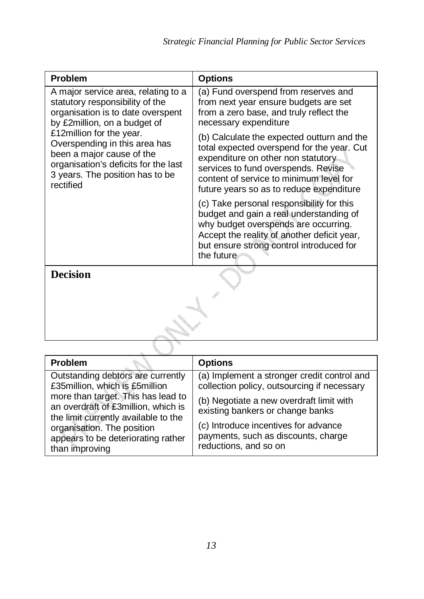| <b>Problem</b>                                                                                                                                                                 | <b>Options</b>                                                                                                                                                                                                                                                |
|--------------------------------------------------------------------------------------------------------------------------------------------------------------------------------|---------------------------------------------------------------------------------------------------------------------------------------------------------------------------------------------------------------------------------------------------------------|
| A major service area, relating to a<br>statutory responsibility of the<br>organisation is to date overspent<br>by £2million, on a budget of                                    | (a) Fund overspend from reserves and<br>from next year ensure budgets are set<br>from a zero base, and truly reflect the<br>necessary expenditure                                                                                                             |
| £12million for the year.<br>Overspending in this area has<br>been a major cause of the<br>organisation's deficits for the last<br>3 years. The position has to be<br>rectified | (b) Calculate the expected outturn and the<br>total expected overspend for the year. Cut<br>expenditure on other non statutory.<br>services to fund overspends. Revise<br>content of service to minimum level for<br>future years so as to reduce expenditure |
|                                                                                                                                                                                | (c) Take personal responsibility for this<br>budget and gain a real understanding of<br>why budget overspends are occurring.<br>Accept the reality of another deficit year,<br>but ensure strong control introduced for<br>the future                         |
| <b>Decision</b>                                                                                                                                                                |                                                                                                                                                                                                                                                               |
|                                                                                                                                                                                |                                                                                                                                                                                                                                                               |

| <b>Problem</b>                                                                                                    | <b>Options</b>                                                                                       |
|-------------------------------------------------------------------------------------------------------------------|------------------------------------------------------------------------------------------------------|
| Outstanding debtors are currently<br>£35million, which is £5million                                               | (a) Implement a stronger credit control and<br>collection policy, outsourcing if necessary           |
| more than target. This has lead to<br>an overdraft of £3million, which is<br>the limit currently available to the | (b) Negotiate a new overdraft limit with<br>existing bankers or change banks                         |
| organisation. The position<br>appears to be deteriorating rather<br>than improving                                | (c) Introduce incentives for advance<br>payments, such as discounts, charge<br>reductions, and so on |